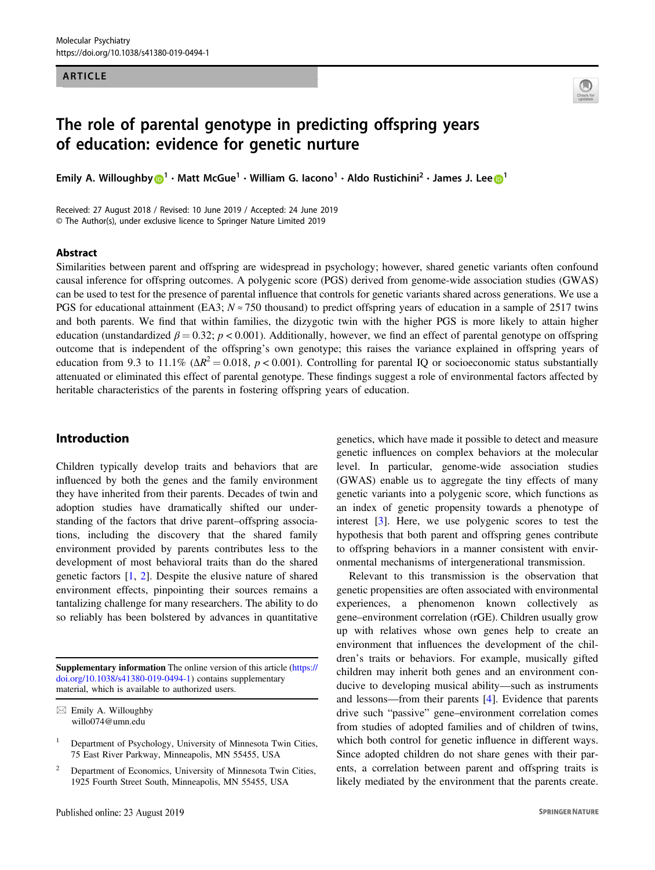#### ARTICLE



# The role of parental genotype in predicting offspring years of education: evidence for genetic nurture

Emil[y](http://orcid.org/0000-0001-7559-1544) A. Willoughby  $\bigcirc^{1} \cdot$  $\bigcirc^{1} \cdot$  $\bigcirc^{1} \cdot$  Matt McGu[e](http://orcid.org/0000-0001-6547-5128)<sup>1</sup>  $\cdot$  William G. Iacono<sup>1</sup>  $\cdot$  Aldo Rustichini<sup>2</sup>  $\cdot$  James J. Lee $\bigcirc^{1}$ 

Received: 27 August 2018 / Revised: 10 June 2019 / Accepted: 24 June 2019 © The Author(s), under exclusive licence to Springer Nature Limited 2019

#### Abstract

Similarities between parent and offspring are widespread in psychology; however, shared genetic variants often confound causal inference for offspring outcomes. A polygenic score (PGS) derived from genome-wide association studies (GWAS) can be used to test for the presence of parental influence that controls for genetic variants shared across generations. We use a PGS for educational attainment (EA3;  $N \approx 750$  thousand) to predict offspring years of education in a sample of 2517 twins and both parents. We find that within families, the dizygotic twin with the higher PGS is more likely to attain higher education (unstandardized  $\beta = 0.32$ ;  $p < 0.001$ ). Additionally, however, we find an effect of parental genotype on offspring outcome that is independent of the offspring's own genotype; this raises the variance explained in offspring years of education from 9.3 to 11.1% ( $\Delta R^2 = 0.018$ , p < 0.001). Controlling for parental IQ or socioeconomic status substantially attenuated or eliminated this effect of parental genotype. These findings suggest a role of environmental factors affected by heritable characteristics of the parents in fostering offspring years of education.

# Introduction

Children typically develop traits and behaviors that are influenced by both the genes and the family environment they have inherited from their parents. Decades of twin and adoption studies have dramatically shifted our understanding of the factors that drive parent–offspring associations, including the discovery that the shared family environment provided by parents contributes less to the development of most behavioral traits than do the shared genetic factors [[1,](#page-7-0) [2\]](#page-7-0). Despite the elusive nature of shared environment effects, pinpointing their sources remains a tantalizing challenge for many researchers. The ability to do so reliably has been bolstered by advances in quantitative

Supplementary information The online version of this article ([https://](https://doi.org/10.1038/s41380-019-0494-1) [doi.org/10.1038/s41380-019-0494-1\)](https://doi.org/10.1038/s41380-019-0494-1) contains supplementary material, which is available to authorized users.

genetics, which have made it possible to detect and measure genetic influences on complex behaviors at the molecular level. In particular, genome-wide association studies (GWAS) enable us to aggregate the tiny effects of many genetic variants into a polygenic score, which functions as an index of genetic propensity towards a phenotype of interest [[3](#page-7-0)]. Here, we use polygenic scores to test the hypothesis that both parent and offspring genes contribute to offspring behaviors in a manner consistent with environmental mechanisms of intergenerational transmission.

Relevant to this transmission is the observation that genetic propensities are often associated with environmental experiences, a phenomenon known collectively as gene–environment correlation (rGE). Children usually grow up with relatives whose own genes help to create an environment that influences the development of the children's traits or behaviors. For example, musically gifted children may inherit both genes and an environment conducive to developing musical ability—such as instruments and lessons—from their parents [\[4\]](#page-8-0). Evidence that parents drive such "passive" gene–environment correlation comes from studies of adopted families and of children of twins, which both control for genetic influence in different ways. Since adopted children do not share genes with their parents, a correlation between parent and offspring traits is likely mediated by the environment that the parents create.

 $\boxtimes$  Emily A. Willoughby [willo074@umn.edu](mailto:willo074@umn.edu)

<sup>1</sup> Department of Psychology, University of Minnesota Twin Cities, 75 East River Parkway, Minneapolis, MN 55455, USA

<sup>2</sup> Department of Economics, University of Minnesota Twin Cities, 1925 Fourth Street South, Minneapolis, MN 55455, USA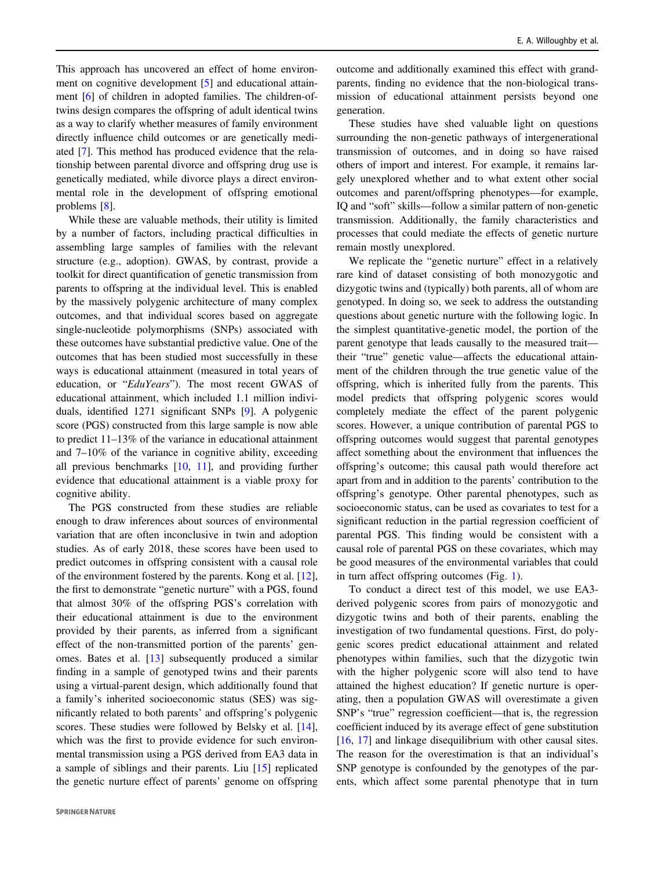This approach has uncovered an effect of home environment on cognitive development [[5\]](#page-8-0) and educational attainment [[6\]](#page-8-0) of children in adopted families. The children-oftwins design compares the offspring of adult identical twins as a way to clarify whether measures of family environment directly influence child outcomes or are genetically mediated [\[7](#page-8-0)]. This method has produced evidence that the relationship between parental divorce and offspring drug use is genetically mediated, while divorce plays a direct environmental role in the development of offspring emotional problems [\[8](#page-8-0)].

While these are valuable methods, their utility is limited by a number of factors, including practical difficulties in assembling large samples of families with the relevant structure (e.g., adoption). GWAS, by contrast, provide a toolkit for direct quantification of genetic transmission from parents to offspring at the individual level. This is enabled by the massively polygenic architecture of many complex outcomes, and that individual scores based on aggregate single-nucleotide polymorphisms (SNPs) associated with these outcomes have substantial predictive value. One of the outcomes that has been studied most successfully in these ways is educational attainment (measured in total years of education, or "EduYears"). The most recent GWAS of educational attainment, which included 1.1 million individuals, identified 1271 significant SNPs [\[9](#page-8-0)]. A polygenic score (PGS) constructed from this large sample is now able to predict 11–13% of the variance in educational attainment and 7–10% of the variance in cognitive ability, exceeding all previous benchmarks [\[10](#page-8-0), [11\]](#page-8-0), and providing further evidence that educational attainment is a viable proxy for cognitive ability.

The PGS constructed from these studies are reliable enough to draw inferences about sources of environmental variation that are often inconclusive in twin and adoption studies. As of early 2018, these scores have been used to predict outcomes in offspring consistent with a causal role of the environment fostered by the parents. Kong et al. [\[12](#page-8-0)], the first to demonstrate "genetic nurture" with a PGS, found that almost 30% of the offspring PGS's correlation with their educational attainment is due to the environment provided by their parents, as inferred from a significant effect of the non-transmitted portion of the parents' genomes. Bates et al. [[13\]](#page-8-0) subsequently produced a similar finding in a sample of genotyped twins and their parents using a virtual-parent design, which additionally found that a family's inherited socioeconomic status (SES) was significantly related to both parents' and offspring's polygenic scores. These studies were followed by Belsky et al. [\[14](#page-8-0)], which was the first to provide evidence for such environmental transmission using a PGS derived from EA3 data in a sample of siblings and their parents. Liu [\[15](#page-8-0)] replicated the genetic nurture effect of parents' genome on offspring

outcome and additionally examined this effect with grandparents, finding no evidence that the non-biological transmission of educational attainment persists beyond one generation.

These studies have shed valuable light on questions surrounding the non-genetic pathways of intergenerational transmission of outcomes, and in doing so have raised others of import and interest. For example, it remains largely unexplored whether and to what extent other social outcomes and parent/offspring phenotypes—for example, IQ and "soft" skills—follow a similar pattern of non-genetic transmission. Additionally, the family characteristics and processes that could mediate the effects of genetic nurture remain mostly unexplored.

We replicate the "genetic nurture" effect in a relatively rare kind of dataset consisting of both monozygotic and dizygotic twins and (typically) both parents, all of whom are genotyped. In doing so, we seek to address the outstanding questions about genetic nurture with the following logic. In the simplest quantitative-genetic model, the portion of the parent genotype that leads causally to the measured trait their "true" genetic value—affects the educational attainment of the children through the true genetic value of the offspring, which is inherited fully from the parents. This model predicts that offspring polygenic scores would completely mediate the effect of the parent polygenic scores. However, a unique contribution of parental PGS to offspring outcomes would suggest that parental genotypes affect something about the environment that influences the offspring's outcome; this causal path would therefore act apart from and in addition to the parents' contribution to the offspring's genotype. Other parental phenotypes, such as socioeconomic status, can be used as covariates to test for a significant reduction in the partial regression coefficient of parental PGS. This finding would be consistent with a causal role of parental PGS on these covariates, which may be good measures of the environmental variables that could in turn affect offspring outcomes (Fig. [1\)](#page-2-0).

To conduct a direct test of this model, we use EA3 derived polygenic scores from pairs of monozygotic and dizygotic twins and both of their parents, enabling the investigation of two fundamental questions. First, do polygenic scores predict educational attainment and related phenotypes within families, such that the dizygotic twin with the higher polygenic score will also tend to have attained the highest education? If genetic nurture is operating, then a population GWAS will overestimate a given SNP's "true" regression coefficient—that is, the regression coefficient induced by its average effect of gene substitution [\[16](#page-8-0), [17](#page-8-0)] and linkage disequilibrium with other causal sites. The reason for the overestimation is that an individual's SNP genotype is confounded by the genotypes of the parents, which affect some parental phenotype that in turn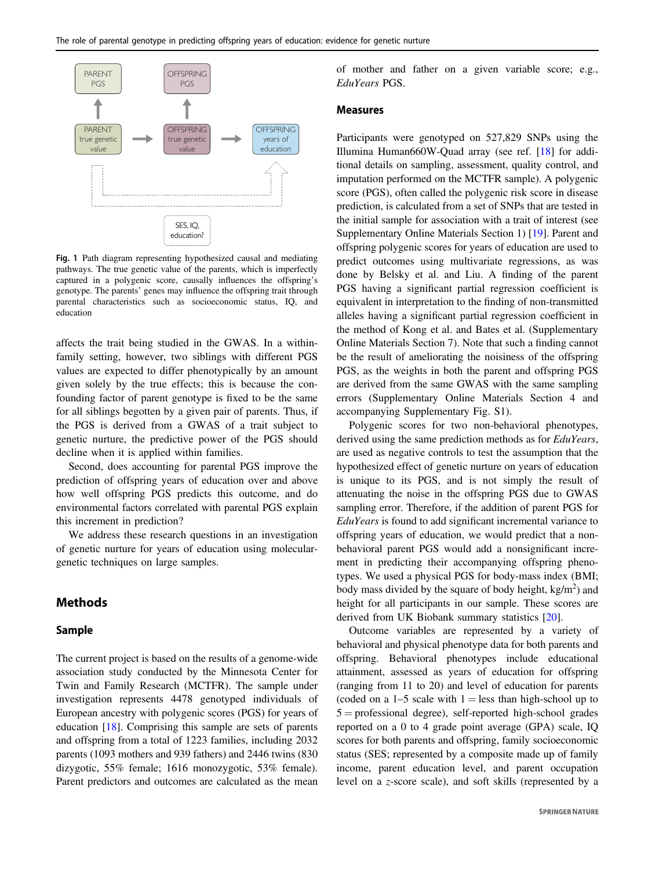<span id="page-2-0"></span>

Fig. 1 Path diagram representing hypothesized causal and mediating pathways. The true genetic value of the parents, which is imperfectly captured in a polygenic score, causally influences the offspring's genotype. The parents' genes may influence the offspring trait through parental characteristics such as socioeconomic status, IQ, and education

affects the trait being studied in the GWAS. In a withinfamily setting, however, two siblings with different PGS values are expected to differ phenotypically by an amount given solely by the true effects; this is because the confounding factor of parent genotype is fixed to be the same for all siblings begotten by a given pair of parents. Thus, if the PGS is derived from a GWAS of a trait subject to genetic nurture, the predictive power of the PGS should decline when it is applied within families.

Second, does accounting for parental PGS improve the prediction of offspring years of education over and above how well offspring PGS predicts this outcome, and do environmental factors correlated with parental PGS explain this increment in prediction?

We address these research questions in an investigation of genetic nurture for years of education using moleculargenetic techniques on large samples.

## Methods

## Sample

The current project is based on the results of a genome-wide association study conducted by the Minnesota Center for Twin and Family Research (MCTFR). The sample under investigation represents 4478 genotyped individuals of European ancestry with polygenic scores (PGS) for years of education [\[18](#page-8-0)]. Comprising this sample are sets of parents and offspring from a total of 1223 families, including 2032 parents (1093 mothers and 939 fathers) and 2446 twins (830 dizygotic, 55% female; 1616 monozygotic, 53% female). Parent predictors and outcomes are calculated as the mean of mother and father on a given variable score; e.g., EduYears PGS.

#### Measures

Participants were genotyped on 527,829 SNPs using the Illumina Human660W-Quad array (see ref. [\[18](#page-8-0)] for additional details on sampling, assessment, quality control, and imputation performed on the MCTFR sample). A polygenic score (PGS), often called the polygenic risk score in disease prediction, is calculated from a set of SNPs that are tested in the initial sample for association with a trait of interest (see Supplementary Online Materials Section 1) [[19\]](#page-8-0). Parent and offspring polygenic scores for years of education are used to predict outcomes using multivariate regressions, as was done by Belsky et al. and Liu. A finding of the parent PGS having a significant partial regression coefficient is equivalent in interpretation to the finding of non-transmitted alleles having a significant partial regression coefficient in the method of Kong et al. and Bates et al. (Supplementary Online Materials Section 7). Note that such a finding cannot be the result of ameliorating the noisiness of the offspring PGS, as the weights in both the parent and offspring PGS are derived from the same GWAS with the same sampling errors (Supplementary Online Materials Section 4 and accompanying Supplementary Fig. S1).

Polygenic scores for two non-behavioral phenotypes, derived using the same prediction methods as for *EduYears*, are used as negative controls to test the assumption that the hypothesized effect of genetic nurture on years of education is unique to its PGS, and is not simply the result of attenuating the noise in the offspring PGS due to GWAS sampling error. Therefore, if the addition of parent PGS for EduYears is found to add significant incremental variance to offspring years of education, we would predict that a nonbehavioral parent PGS would add a nonsignificant increment in predicting their accompanying offspring phenotypes. We used a physical PGS for body-mass index (BMI; body mass divided by the square of body height,  $\text{kg/m}^2$ ) and height for all participants in our sample. These scores are derived from UK Biobank summary statistics [[20\]](#page-8-0).

Outcome variables are represented by a variety of behavioral and physical phenotype data for both parents and offspring. Behavioral phenotypes include educational attainment, assessed as years of education for offspring (ranging from 11 to 20) and level of education for parents (coded on a  $1-5$  scale with  $1 =$  less than high-school up to  $5 =$  professional degree), self-reported high-school grades reported on a 0 to 4 grade point average (GPA) scale, IQ scores for both parents and offspring, family socioeconomic status (SES; represented by a composite made up of family income, parent education level, and parent occupation level on a z-score scale), and soft skills (represented by a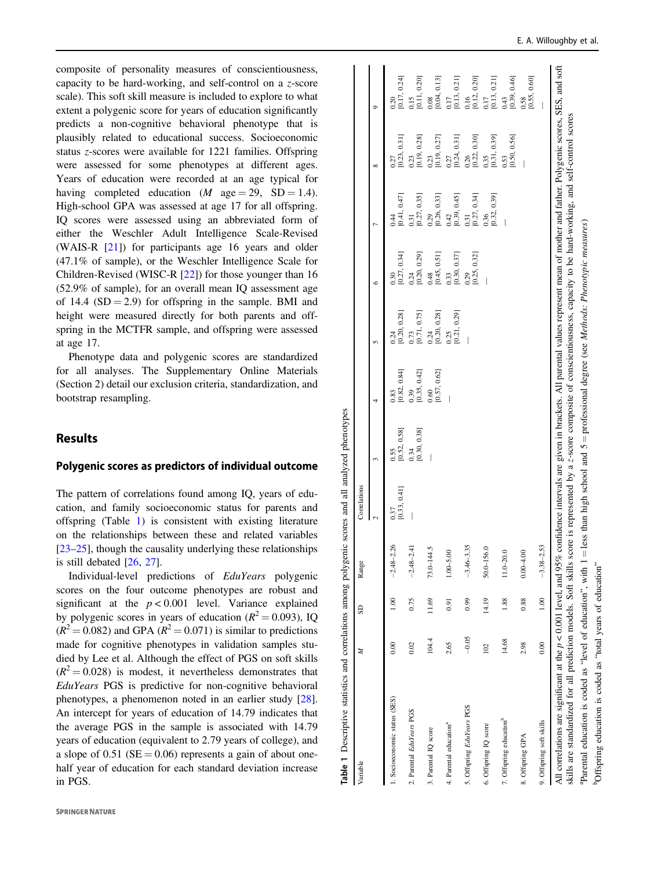composite of personality measures of conscientiousness, capacity to be hard-working, and self-control on a z-score scale). This soft skill measure is included to explore to what extent a polygenic score for years of education significantly predicts a non-cognitive behavioral phenotype that is plausibly related to educational success. Socioeconomic status z-scores were available for 1221 families. Offspring were assessed for some phenotypes at different ages. Years of education were recorded at an age typical for having completed education (*M* age = 29, SD = 1.4). High-school GPA was assessed at age 17 for all offspring. IQ scores were assessed using an abbreviated form of either the Weschler Adult Intelligence Scale-Revised (WAIS-R [\[21](#page-8-0)]) for participants age 16 years and older (47.1% of sample), or the Weschler Intelligence Scale for Children-Revised (WISC-R [\[22](#page-8-0)]) for those younger than 16 (52.9% of sample), for an overall mean IQ assessment age of 14.4  $(SD = 2.9)$  for offspring in the sample. BMI and height were measured directly for both parents and offspring in the MCTFR sample, and offspring were assessed at age 17.

Phenotype data and polygenic scores are standardized for all analyses. The Supplementary Online Materials (Section 2) detail our exclusion criteria, standardization, and bootstrap resampling.

## Results

#### Polygenic scores as predictors of individual outcome

The pattern of correlations found among IQ, years of education, and family socioeconomic status for parents and offspring (Table 1) is consistent with existing literature on the relationships between these and related variables [\[23](#page-8-0)–[25](#page-8-0)], though the causality underlying these relationships is still debated [\[26](#page-8-0), [27\]](#page-8-0).

Individual-level predictions of EduYears polygenic scores on the four outcome phenotypes are robust and significant at the  $p < 0.001$  level. Variance explained by polygenic scores in years of education ( $R^2 = 0.093$ ), IQ  $(R^2 = 0.082)$  and GPA  $(R^2 = 0.071)$  is similar to predictions made for cognitive phenotypes in validation samples studied by Lee et al. Although the effect of PGS on soft skills  $(R^2 = 0.028)$  is modest, it nevertheless demonstrates that EduYears PGS is predictive for non-cognitive behavioral phenotypes, a phenomenon noted in an earlier study [\[28](#page-8-0)]. An intercept for years of education of 14.79 indicates that the average PGS in the sample is associated with 14.79 years of education (equivalent to 2.79 years of college), and a slope of  $0.51$  (SE = 0.06) represents a gain of about onehalf year of education for each standard deviation increase in PGS.

bOffspring education is coded as "total years of education"

Offspring education is coded as "total years of education"

|                                                                                                                                                                                                                                                                           |         |       |                |                                                                                                                        |                      |                      |                      |                      |                      | $\infty$                    | Ô                    |
|---------------------------------------------------------------------------------------------------------------------------------------------------------------------------------------------------------------------------------------------------------------------------|---------|-------|----------------|------------------------------------------------------------------------------------------------------------------------|----------------------|----------------------|----------------------|----------------------|----------------------|-----------------------------|----------------------|
| . Socioeconomic status (SES)                                                                                                                                                                                                                                              | 0.00    | g     | $-2.48 - 2.26$ | [0.33, 0.41]<br>0.37                                                                                                   | [0.52, 0.58]<br>0.55 | [0.82, 0.84]<br>0.83 | [0.20, 0.28]<br>0.24 | [0.27, 0.34]<br>0.30 | [0.41, 0.47]<br>0.44 | [0.23, 0.31]<br>0.27        | [0.17, 0.24]<br>0.20 |
| 2. Parental EduYears PGS                                                                                                                                                                                                                                                  | 0.02    | 0.75  | $-2.48 - 2.41$ |                                                                                                                        | [0.30, 0.38]<br>0.34 | [0.35, 0.42]<br>0.39 | [0.71, 0.75]<br>0.73 | [0.20, 0.29]<br>0.24 | [0.27, 0.35]<br>0.31 | [0.19, 0.28]<br>0.23        | [0.11, 0.20]<br>0.15 |
| 8. Parental IQ score                                                                                                                                                                                                                                                      | 104.4   | 11.69 | $73.0 - 144.5$ |                                                                                                                        |                      | [0.57, 0.62]<br>0.60 | [0.20, 0.28]<br>0.24 | [0.45, 0.51]<br>0.48 | [0.26, 0.33]<br>0.29 | [0.19, 0.27]<br>0.23        | [0.04, 0.13]<br>0.08 |
| 4. Parental education <sup>a</sup>                                                                                                                                                                                                                                        | 2.65    | 0.91  | $1.00 - 5.00$  |                                                                                                                        |                      |                      | [0.21, 0.29]<br>0.25 | [0.30, 0.37]<br>0.33 | [0.39, 0.45]<br>0.42 | $\frac{0.27}{[0.24, 0.31]}$ | [0.13, 0.21]<br>0.17 |
| 5. Offspring EduYears PGS                                                                                                                                                                                                                                                 | $-0.05$ | 0.99  | $-3.46 - 3.35$ |                                                                                                                        |                      |                      |                      | [0.25, 0.32]<br>0.29 | [0.27, 0.34]<br>0.31 | [0.22, 0.30]<br>0.26        | [0.12, 0.20]<br>0.16 |
| 6. Offspring IQ score                                                                                                                                                                                                                                                     | 102     | 14.19 | 50.0-156.0     |                                                                                                                        |                      |                      |                      |                      | [0.32, 0.39]<br>0.36 | [0.31, 0.39]<br>0.35        | [0.13, 0.21]<br>0.17 |
| '. Offspring education <sup>b</sup>                                                                                                                                                                                                                                       | 14.68   | 1.88  | $11.0 - 20.0$  |                                                                                                                        |                      |                      |                      |                      |                      | [0.50, 0.56]<br>0.53        | [0.39, 0.46]<br>0.43 |
| 8. Offspring GPA                                                                                                                                                                                                                                                          | 2.98    | 0.88  | $0.00 - 4.00$  |                                                                                                                        |                      |                      |                      |                      |                      |                             | [0.55, 0.60]<br>0.58 |
| . Offspring soft skills                                                                                                                                                                                                                                                   | 0.00    | 1.00  | $-3.38 - 2.53$ |                                                                                                                        |                      |                      |                      |                      |                      |                             |                      |
| All correlations are significant at the $p < 0.001$ level, and 95% confidence intervals are given in brackets. All parental values represent mean of mother and father. Polygenic scores, SES, and soft<br>skills are standardized for all prediction models. Soft skills |         |       |                | score is represented by a z-score composite of conscientiousness, capacity to be hard-working, and self-control scores |                      |                      |                      |                      |                      |                             |                      |
| Parental education is coded as "level of education", with 1                                                                                                                                                                                                               |         |       |                | $=$ less than high school and $5 =$ professional degree (see <i>Methods: Phenotypic measures</i> )                     |                      |                      |                      |                      |                      |                             |                      |

Table 1 Descriptive statistics and correlations among polygenic scores and all analyzed phenotypes

able 1 Descriptive statistics and

correlations among polygenic scores and all analyzed phenotypes

M SD Range Correlations

Range

 $\overline{\mathbf{S}}$ 

 $\boldsymbol{\mathcal{N}}$ 

Correlations

Variable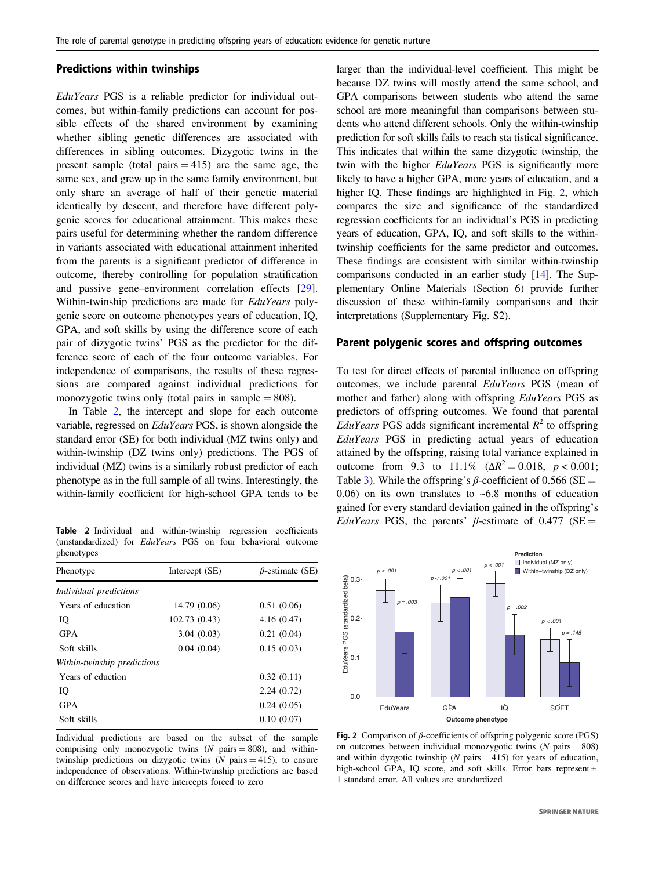#### <span id="page-4-0"></span>Predictions within twinships

EduYears PGS is a reliable predictor for individual outcomes, but within-family predictions can account for possible effects of the shared environment by examining whether sibling genetic differences are associated with differences in sibling outcomes. Dizygotic twins in the present sample (total pairs  $=$  415) are the same age, the same sex, and grew up in the same family environment, but only share an average of half of their genetic material identically by descent, and therefore have different polygenic scores for educational attainment. This makes these pairs useful for determining whether the random difference in variants associated with educational attainment inherited from the parents is a significant predictor of difference in outcome, thereby controlling for population stratification and passive gene–environment correlation effects [\[29](#page-8-0)]. Within-twinship predictions are made for *EduYears* polygenic score on outcome phenotypes years of education, IQ, GPA, and soft skills by using the difference score of each pair of dizygotic twins' PGS as the predictor for the difference score of each of the four outcome variables. For independence of comparisons, the results of these regressions are compared against individual predictions for monozygotic twins only (total pairs in sample  $= 808$ ).

In Table 2, the intercept and slope for each outcome variable, regressed on EduYears PGS, is shown alongside the standard error (SE) for both individual (MZ twins only) and within-twinship (DZ twins only) predictions. The PGS of individual (MZ) twins is a similarly robust predictor of each phenotype as in the full sample of all twins. Interestingly, the within-family coefficient for high-school GPA tends to be

(unstandardized) for EduYears PGS on four behavioral outcome phenotypes

| Phenotype                   | Intercept (SE) | $\beta$ -estimate (SE) |
|-----------------------------|----------------|------------------------|
| Individual predictions      |                |                        |
| Years of education          | 14.79 (0.06)   | 0.51(0.06)             |
| IQ                          | 102.73(0.43)   | 4.16(0.47)             |
| <b>GPA</b>                  | 3.04(0.03)     | 0.21(0.04)             |
| Soft skills                 | 0.04(0.04)     | 0.15(0.03)             |
| Within-twinship predictions |                |                        |
| Years of eduction           |                | 0.32(0.11)             |
| IQ                          |                | 2.24(0.72)             |
| <b>GPA</b>                  |                | 0.24(0.05)             |
| Soft skills                 |                | 0.10(0.07)             |

Individual predictions are based on the subset of the sample comprising only monozygotic twins  $(N \text{ pairs} = 808)$ , and withintwinship predictions on dizygotic twins  $(N \text{ pairs} = 415)$ , to ensure independence of observations. Within-twinship predictions are based on difference scores and have intercepts forced to zero

larger than the individual-level coefficient. This might be because DZ twins will mostly attend the same school, and GPA comparisons between students who attend the same school are more meaningful than comparisons between students who attend different schools. Only the within-twinship prediction for soft skills fails to reach sta tistical significance. This indicates that within the same dizygotic twinship, the twin with the higher *EduYears* PGS is significantly more likely to have a higher GPA, more years of education, and a higher IQ. These findings are highlighted in Fig. 2, which compares the size and significance of the standardized regression coefficients for an individual's PGS in predicting years of education, GPA, IQ, and soft skills to the withintwinship coefficients for the same predictor and outcomes. These findings are consistent with similar within-twinship comparisons conducted in an earlier study [[14](#page-8-0)]. The Supplementary Online Materials (Section 6) provide further discussion of these within-family comparisons and their interpretations (Supplementary Fig. S2).

## Parent polygenic scores and offspring outcomes

To test for direct effects of parental influence on offspring outcomes, we include parental EduYears PGS (mean of mother and father) along with offspring EduYears PGS as predictors of offspring outcomes. We found that parental *EduYears* PGS adds significant incremental  $R^2$  to offspring EduYears PGS in predicting actual years of education attained by the offspring, raising total variance explained in outcome from 9.3 to 11.1%  $(\Delta R^2 = 0.018, p < 0.001)$ ; Table [3\)](#page-5-0). While the offspring's  $\beta$ -coefficient of 0.566 (SE = 0.06) on its own translates to  $~6.8$  months of education gained for every standard deviation gained in the offspring's **Table 2** Individual and within-twinship regression coefficients<br>  $EduYears$  PGS, the parents' β-estimate of 0.477 (SE =



Fig. 2 Comparison of β-coefficients of offspring polygenic score (PGS) on outcomes between individual monozygotic twins  $(N \text{ pairs} = 808)$ and within dyzgotic twinship ( $N$  pairs = 415) for years of education, high-school GPA, IQ score, and soft skills. Error bars represent ± 1 standard error. All values are standardized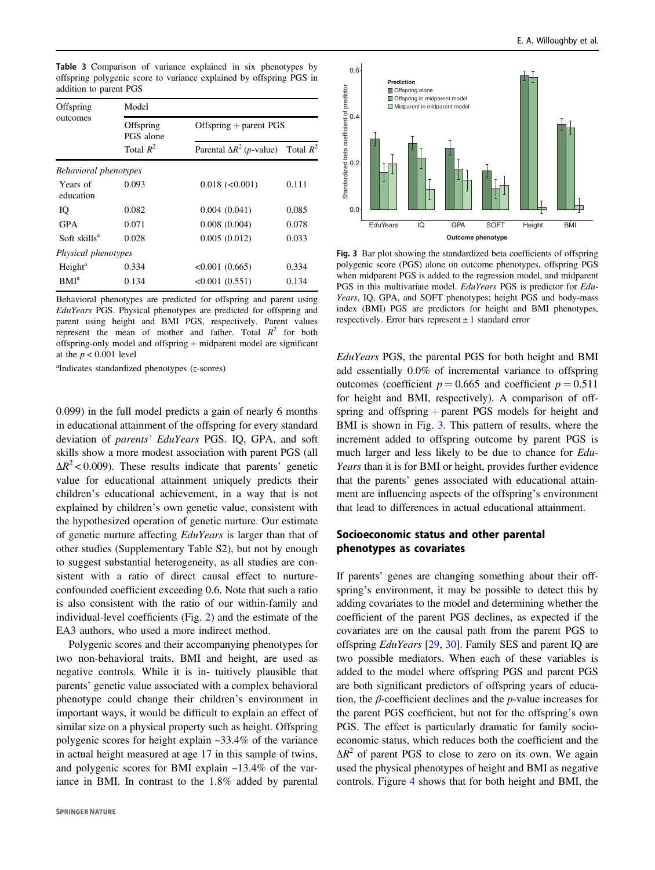<span id="page-5-0"></span>Table 3 Comparison of variance explained in six phenotypes by offspring polygenic score to variance explained by offspring PGS in addition to parent PGS

| Offspring                    | Model                  |                                                      |       |
|------------------------------|------------------------|------------------------------------------------------|-------|
| outcomes                     | Offspring<br>PGS alone | Offspring $+$ parent PGS                             |       |
|                              | Total $R^2$            | Parental $\Delta R^2$ ( <i>p</i> -value) Total $R^2$ |       |
| <b>Behavioral phenotypes</b> |                        |                                                      |       |
| Years of<br>education        | 0.093                  | $0.018$ (< $0.001$ )                                 | 0.111 |
| Ю                            | 0.082                  | 0.004(0.041)                                         | 0.085 |
| GPA                          | 0.071                  | 0.008(0.004)                                         | 0.078 |
| Soft skills <sup>a</sup>     | 0.028                  | 0.005(0.012)                                         | 0.033 |
| Physical phenotypes          |                        |                                                      |       |
| Height <sup>a</sup>          | 0.334                  | $< 0.001$ (0.665)                                    | 0.334 |
| BMI <sup>a</sup>             | 0.134                  | $< 0.001$ (0.551)                                    | 0.134 |

Behavioral phenotypes are predicted for offspring and parent using EduYears PGS. Physical phenotypes are predicted for offspring and parent using height and BMI PGS, respectively. Parent values represent the mean of mother and father. Total  $R^2$  for both offspring-only model and offspring + midparent model are significant at the  $p < 0.001$  level

a Indicates standardized phenotypes (z-scores)

0.099) in the full model predicts a gain of nearly 6 months in educational attainment of the offspring for every standard deviation of *parents' EduYears* PGS. IQ, GPA, and soft skills show a more modest association with parent PGS (all  $\Delta R^2$  < 0.009). These results indicate that parents' genetic value for educational attainment uniquely predicts their children's educational achievement, in a way that is not explained by children's own genetic value, consistent with the hypothesized operation of genetic nurture. Our estimate of genetic nurture affecting EduYears is larger than that of other studies (Supplementary Table S2), but not by enough to suggest substantial heterogeneity, as all studies are consistent with a ratio of direct causal effect to nurtureconfounded coefficient exceeding 0.6. Note that such a ratio is also consistent with the ratio of our within-family and individual-level coefficients (Fig. [2\)](#page-4-0) and the estimate of the EA3 authors, who used a more indirect method.

Polygenic scores and their accompanying phenotypes for two non-behavioral traits, BMI and height, are used as negative controls. While it is in- tuitively plausible that parents' genetic value associated with a complex behavioral phenotype could change their children's environment in important ways, it would be difficult to explain an effect of similar size on a physical property such as height. Offspring polygenic scores for height explain ~33.4% of the variance in actual height measured at age 17 in this sample of twins, and polygenic scores for BMI explain ~13.4% of the variance in BMI. In contrast to the 1.8% added by parental



Fig. 3 Bar plot showing the standardized beta coefficients of offspring polygenic score (PGS) alone on outcome phenotypes, offspring PGS when midparent PGS is added to the regression model, and midparent PGS in this multivariate model. EduYears PGS is predictor for Edu-Years, IQ, GPA, and SOFT phenotypes; height PGS and body-mass index (BMI) PGS are predictors for height and BMI phenotypes, respectively. Error bars represent  $\pm 1$  standard error

EduYears PGS, the parental PGS for both height and BMI add essentially 0.0% of incremental variance to offspring outcomes (coefficient  $p = 0.665$  and coefficient  $p = 0.511$ for height and BMI, respectively). A comparison of offspring and offspring + parent PGS models for height and BMI is shown in Fig. 3. This pattern of results, where the increment added to offspring outcome by parent PGS is much larger and less likely to be due to chance for Edu-Years than it is for BMI or height, provides further evidence that the parents' genes associated with educational attainment are influencing aspects of the offspring's environment that lead to differences in actual educational attainment.

# Socioeconomic status and other parental phenotypes as covariates

If parents' genes are changing something about their offspring's environment, it may be possible to detect this by adding covariates to the model and determining whether the coefficient of the parent PGS declines, as expected if the covariates are on the causal path from the parent PGS to offspring EduYears [[29,](#page-8-0) [30](#page-8-0)]. Family SES and parent IQ are two possible mediators. When each of these variables is added to the model where offspring PGS and parent PGS are both significant predictors of offspring years of education, the  $\beta$ -coefficient declines and the *p*-value increases for the parent PGS coefficient, but not for the offspring's own PGS. The effect is particularly dramatic for family socioeconomic status, which reduces both the coefficient and the  $\Delta R^2$  of parent PGS to close to zero on its own. We again used the physical phenotypes of height and BMI as negative controls. Figure [4](#page-6-0) shows that for both height and BMI, the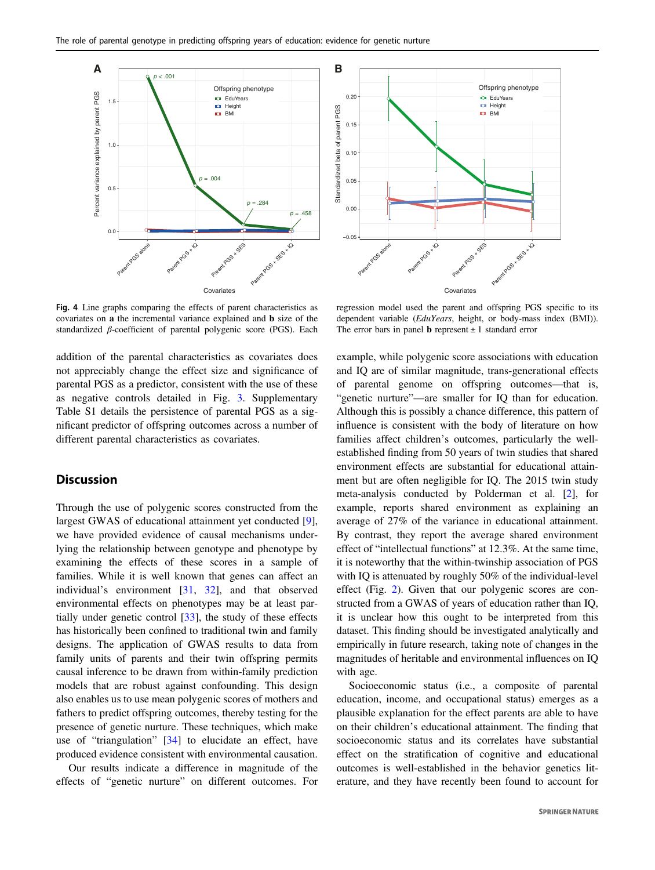<span id="page-6-0"></span>

**B** Offspring phenotype 0.20 EduYears **Ct** Height Standardized beta of parent PGS Standardized beta of parent PGS  $\overline{D}$  BMI 0.15 0.10 0.05 0.00 −0.05 Parent PGS alone **PROS** + IQ **PSES** arent PGS + SES + LG Covariates

Fig. 4 Line graphs comparing the effects of parent characteristics as covariates on a the incremental variance explained and b size of the standardized  $\beta$ -coefficient of parental polygenic score (PGS). Each

addition of the parental characteristics as covariates does not appreciably change the effect size and significance of parental PGS as a predictor, consistent with the use of these as negative controls detailed in Fig. [3.](#page-5-0) Supplementary Table S1 details the persistence of parental PGS as a significant predictor of offspring outcomes across a number of different parental characteristics as covariates.

# **Discussion**

Through the use of polygenic scores constructed from the largest GWAS of educational attainment yet conducted [\[9](#page-8-0)], we have provided evidence of causal mechanisms underlying the relationship between genotype and phenotype by examining the effects of these scores in a sample of families. While it is well known that genes can affect an individual's environment [\[31](#page-8-0), [32](#page-8-0)], and that observed environmental effects on phenotypes may be at least partially under genetic control [[33\]](#page-8-0), the study of these effects has historically been confined to traditional twin and family designs. The application of GWAS results to data from family units of parents and their twin offspring permits causal inference to be drawn from within-family prediction models that are robust against confounding. This design also enables us to use mean polygenic scores of mothers and fathers to predict offspring outcomes, thereby testing for the presence of genetic nurture. These techniques, which make use of "triangulation" [[34\]](#page-8-0) to elucidate an effect, have produced evidence consistent with environmental causation.

Our results indicate a difference in magnitude of the effects of "genetic nurture" on different outcomes. For

regression model used the parent and offspring PGS specific to its dependent variable (EduYears, height, or body-mass index (BMI)). The error bars in panel **b** represent  $\pm 1$  standard error

example, while polygenic score associations with education and IQ are of similar magnitude, trans-generational effects of parental genome on offspring outcomes—that is, "genetic nurture"—are smaller for IQ than for education. Although this is possibly a chance difference, this pattern of influence is consistent with the body of literature on how families affect children's outcomes, particularly the wellestablished finding from 50 years of twin studies that shared environment effects are substantial for educational attainment but are often negligible for IQ. The 2015 twin study meta-analysis conducted by Polderman et al. [\[2](#page-7-0)], for example, reports shared environment as explaining an average of 27% of the variance in educational attainment. By contrast, they report the average shared environment effect of "intellectual functions" at 12.3%. At the same time, it is noteworthy that the within-twinship association of PGS with IQ is attenuated by roughly 50% of the individual-level effect (Fig. [2](#page-4-0)). Given that our polygenic scores are constructed from a GWAS of years of education rather than IQ, it is unclear how this ought to be interpreted from this dataset. This finding should be investigated analytically and empirically in future research, taking note of changes in the magnitudes of heritable and environmental influences on IQ with age.

Socioeconomic status (i.e., a composite of parental education, income, and occupational status) emerges as a plausible explanation for the effect parents are able to have on their children's educational attainment. The finding that socioeconomic status and its correlates have substantial effect on the stratification of cognitive and educational outcomes is well-established in the behavior genetics literature, and they have recently been found to account for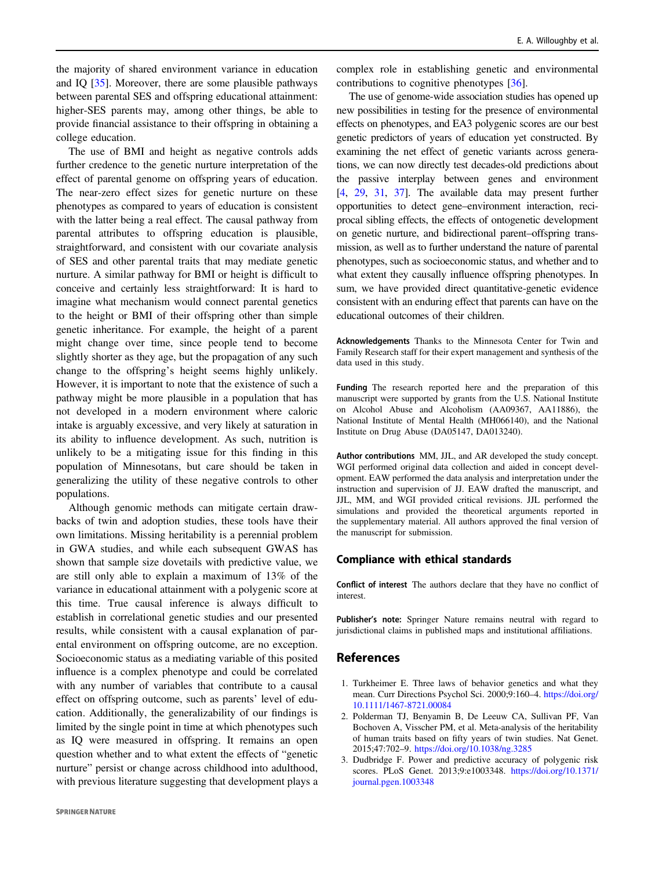<span id="page-7-0"></span>the majority of shared environment variance in education and IQ [[35\]](#page-8-0). Moreover, there are some plausible pathways between parental SES and offspring educational attainment: higher-SES parents may, among other things, be able to provide financial assistance to their offspring in obtaining a college education.

The use of BMI and height as negative controls adds further credence to the genetic nurture interpretation of the effect of parental genome on offspring years of education. The near-zero effect sizes for genetic nurture on these phenotypes as compared to years of education is consistent with the latter being a real effect. The causal pathway from parental attributes to offspring education is plausible, straightforward, and consistent with our covariate analysis of SES and other parental traits that may mediate genetic nurture. A similar pathway for BMI or height is difficult to conceive and certainly less straightforward: It is hard to imagine what mechanism would connect parental genetics to the height or BMI of their offspring other than simple genetic inheritance. For example, the height of a parent might change over time, since people tend to become slightly shorter as they age, but the propagation of any such change to the offspring's height seems highly unlikely. However, it is important to note that the existence of such a pathway might be more plausible in a population that has not developed in a modern environment where caloric intake is arguably excessive, and very likely at saturation in its ability to influence development. As such, nutrition is unlikely to be a mitigating issue for this finding in this population of Minnesotans, but care should be taken in generalizing the utility of these negative controls to other populations.

Although genomic methods can mitigate certain drawbacks of twin and adoption studies, these tools have their own limitations. Missing heritability is a perennial problem in GWA studies, and while each subsequent GWAS has shown that sample size dovetails with predictive value, we are still only able to explain a maximum of 13% of the variance in educational attainment with a polygenic score at this time. True causal inference is always difficult to establish in correlational genetic studies and our presented results, while consistent with a causal explanation of parental environment on offspring outcome, are no exception. Socioeconomic status as a mediating variable of this posited influence is a complex phenotype and could be correlated with any number of variables that contribute to a causal effect on offspring outcome, such as parents' level of education. Additionally, the generalizability of our findings is limited by the single point in time at which phenotypes such as IQ were measured in offspring. It remains an open question whether and to what extent the effects of "genetic nurture" persist or change across childhood into adulthood, with previous literature suggesting that development plays a

complex role in establishing genetic and environmental contributions to cognitive phenotypes [[36\]](#page-8-0).

The use of genome-wide association studies has opened up new possibilities in testing for the presence of environmental effects on phenotypes, and EA3 polygenic scores are our best genetic predictors of years of education yet constructed. By examining the net effect of genetic variants across generations, we can now directly test decades-old predictions about the passive interplay between genes and environment [\[4](#page-8-0), [29](#page-8-0), [31](#page-8-0), [37](#page-8-0)]. The available data may present further opportunities to detect gene–environment interaction, reciprocal sibling effects, the effects of ontogenetic development on genetic nurture, and bidirectional parent–offspring transmission, as well as to further understand the nature of parental phenotypes, such as socioeconomic status, and whether and to what extent they causally influence offspring phenotypes. In sum, we have provided direct quantitative-genetic evidence consistent with an enduring effect that parents can have on the educational outcomes of their children.

Acknowledgements Thanks to the Minnesota Center for Twin and Family Research staff for their expert management and synthesis of the data used in this study.

Funding The research reported here and the preparation of this manuscript were supported by grants from the U.S. National Institute on Alcohol Abuse and Alcoholism (AA09367, AA11886), the National Institute of Mental Health (MH066140), and the National Institute on Drug Abuse (DA05147, DA013240).

Author contributions MM, JJL, and AR developed the study concept. WGI performed original data collection and aided in concept development. EAW performed the data analysis and interpretation under the instruction and supervision of JJ. EAW drafted the manuscript, and JJL, MM, and WGI provided critical revisions. JJL performed the simulations and provided the theoretical arguments reported in the supplementary material. All authors approved the final version of the manuscript for submission.

#### Compliance with ethical standards

Conflict of interest The authors declare that they have no conflict of interest.

Publisher's note: Springer Nature remains neutral with regard to jurisdictional claims in published maps and institutional affiliations.

### References

- 1. Turkheimer E. Three laws of behavior genetics and what they mean. Curr Directions Psychol Sci. 2000;9:160–4. [https://doi.org/](https://doi.org/10.1111/1467-8721.00084) [10.1111/1467-8721.00084](https://doi.org/10.1111/1467-8721.00084)
- 2. Polderman TJ, Benyamin B, De Leeuw CA, Sullivan PF, Van Bochoven A, Visscher PM, et al. Meta-analysis of the heritability of human traits based on fifty years of twin studies. Nat Genet. 2015;47:702–9. <https://doi.org/10.1038/ng.3285>
- 3. Dudbridge F. Power and predictive accuracy of polygenic risk scores. PLoS Genet. 2013;9:e1003348. [https://doi.org/10.1371/](https://doi.org/10.1371/journal.pgen.1003348) [journal.pgen.1003348](https://doi.org/10.1371/journal.pgen.1003348)